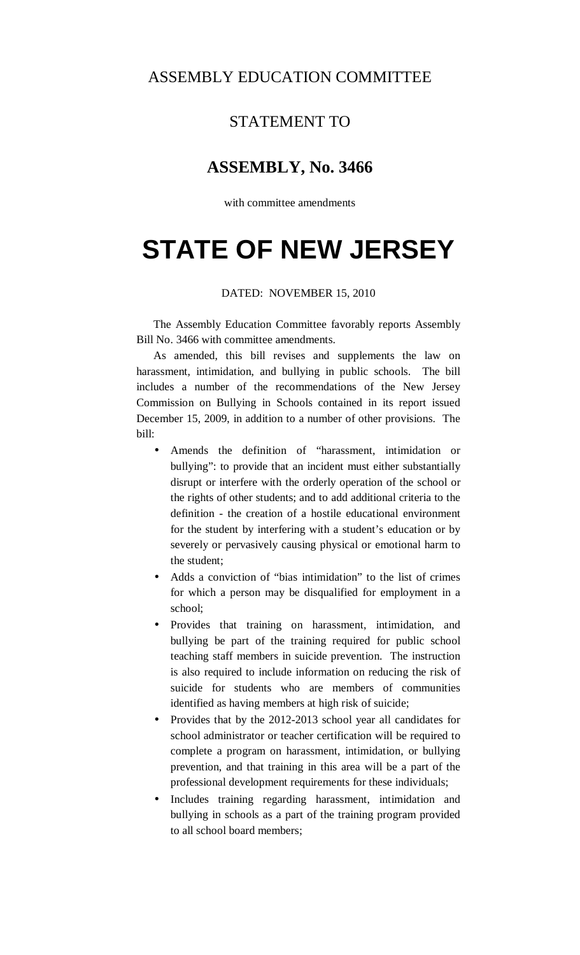### ASSEMBLY EDUCATION COMMITTEE

## STATEMENT TO

### **ASSEMBLY, No. 3466**

with committee amendments

# **STATE OF NEW JERSEY**

#### DATED: NOVEMBER 15, 2010

 The Assembly Education Committee favorably reports Assembly Bill No. 3466 with committee amendments.

 As amended, this bill revises and supplements the law on harassment, intimidation, and bullying in public schools. The bill includes a number of the recommendations of the New Jersey Commission on Bullying in Schools contained in its report issued December 15, 2009, in addition to a number of other provisions. The bill:

- Amends the definition of "harassment, intimidation or bullying": to provide that an incident must either substantially disrupt or interfere with the orderly operation of the school or the rights of other students; and to add additional criteria to the definition - the creation of a hostile educational environment for the student by interfering with a student's education or by severely or pervasively causing physical or emotional harm to the student;
- Adds a conviction of "bias intimidation" to the list of crimes for which a person may be disqualified for employment in a school;
- Provides that training on harassment, intimidation, and bullying be part of the training required for public school teaching staff members in suicide prevention. The instruction is also required to include information on reducing the risk of suicide for students who are members of communities identified as having members at high risk of suicide;
- Provides that by the 2012-2013 school year all candidates for school administrator or teacher certification will be required to complete a program on harassment, intimidation, or bullying prevention, and that training in this area will be a part of the professional development requirements for these individuals;
- Includes training regarding harassment, intimidation and bullying in schools as a part of the training program provided to all school board members;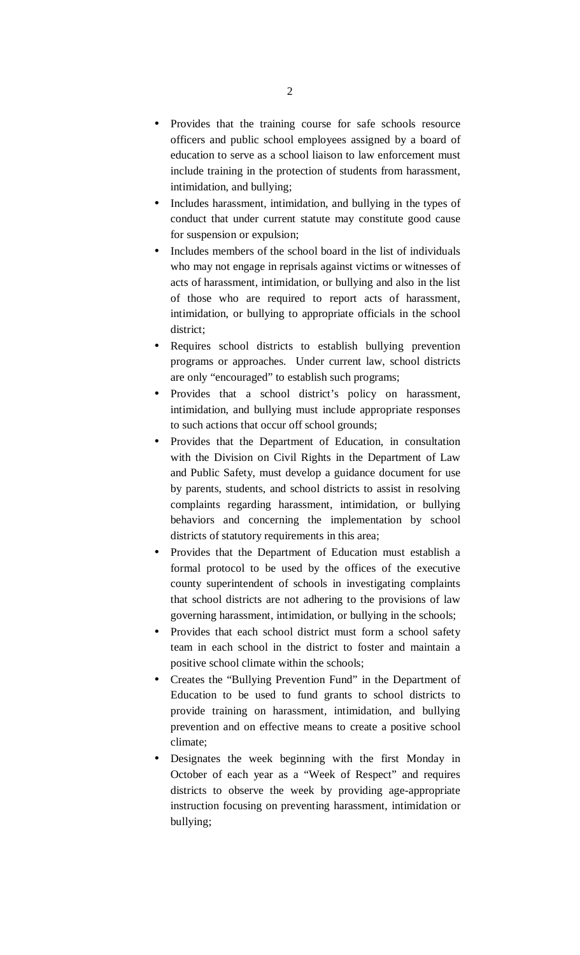- Provides that the training course for safe schools resource officers and public school employees assigned by a board of education to serve as a school liaison to law enforcement must include training in the protection of students from harassment, intimidation, and bullying;
- Includes harassment, intimidation, and bullying in the types of conduct that under current statute may constitute good cause for suspension or expulsion;
- Includes members of the school board in the list of individuals who may not engage in reprisals against victims or witnesses of acts of harassment, intimidation, or bullying and also in the list of those who are required to report acts of harassment, intimidation, or bullying to appropriate officials in the school district;
- Requires school districts to establish bullying prevention programs or approaches. Under current law, school districts are only "encouraged" to establish such programs;
- Provides that a school district's policy on harassment, intimidation, and bullying must include appropriate responses to such actions that occur off school grounds;
- Provides that the Department of Education, in consultation with the Division on Civil Rights in the Department of Law and Public Safety, must develop a guidance document for use by parents, students, and school districts to assist in resolving complaints regarding harassment, intimidation, or bullying behaviors and concerning the implementation by school districts of statutory requirements in this area;
- Provides that the Department of Education must establish a formal protocol to be used by the offices of the executive county superintendent of schools in investigating complaints that school districts are not adhering to the provisions of law governing harassment, intimidation, or bullying in the schools;
- Provides that each school district must form a school safety team in each school in the district to foster and maintain a positive school climate within the schools;
- Creates the "Bullying Prevention Fund" in the Department of Education to be used to fund grants to school districts to provide training on harassment, intimidation, and bullying prevention and on effective means to create a positive school climate;
- Designates the week beginning with the first Monday in October of each year as a "Week of Respect" and requires districts to observe the week by providing age-appropriate instruction focusing on preventing harassment, intimidation or bullying;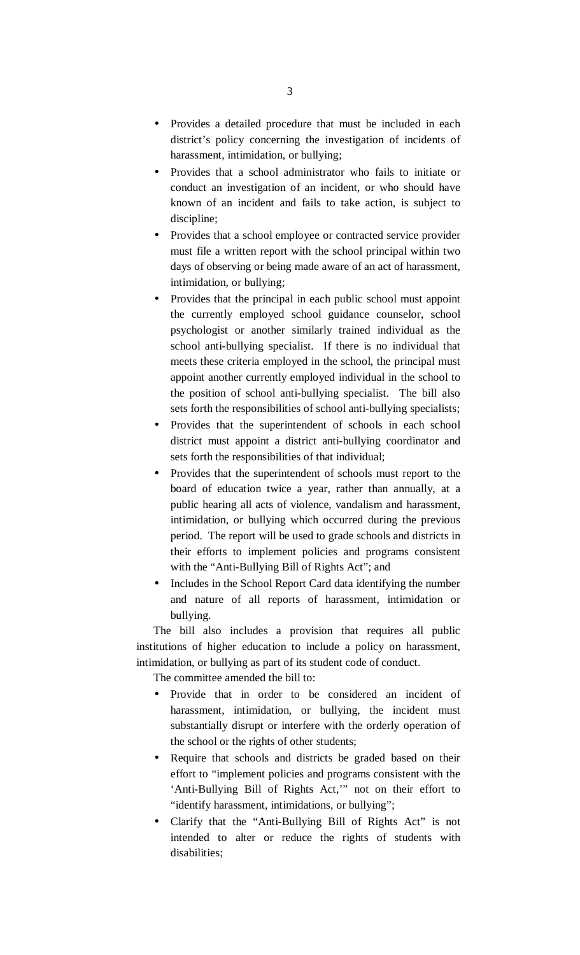- Provides a detailed procedure that must be included in each district's policy concerning the investigation of incidents of harassment, intimidation, or bullying;
- Provides that a school administrator who fails to initiate or conduct an investigation of an incident, or who should have known of an incident and fails to take action, is subject to discipline;
- Provides that a school employee or contracted service provider must file a written report with the school principal within two days of observing or being made aware of an act of harassment, intimidation, or bullying;
- Provides that the principal in each public school must appoint the currently employed school guidance counselor, school psychologist or another similarly trained individual as the school anti-bullying specialist. If there is no individual that meets these criteria employed in the school, the principal must appoint another currently employed individual in the school to the position of school anti-bullying specialist. The bill also sets forth the responsibilities of school anti-bullying specialists;
- Provides that the superintendent of schools in each school district must appoint a district anti-bullying coordinator and sets forth the responsibilities of that individual;
- Provides that the superintendent of schools must report to the board of education twice a year, rather than annually, at a public hearing all acts of violence, vandalism and harassment, intimidation, or bullying which occurred during the previous period. The report will be used to grade schools and districts in their efforts to implement policies and programs consistent with the "Anti-Bullying Bill of Rights Act"; and
- Includes in the School Report Card data identifying the number and nature of all reports of harassment, intimidation or bullying.

 The bill also includes a provision that requires all public institutions of higher education to include a policy on harassment, intimidation, or bullying as part of its student code of conduct.

The committee amended the bill to:

- Provide that in order to be considered an incident of harassment, intimidation, or bullying, the incident must substantially disrupt or interfere with the orderly operation of the school or the rights of other students;
- Require that schools and districts be graded based on their effort to "implement policies and programs consistent with the 'Anti-Bullying Bill of Rights Act,'" not on their effort to "identify harassment, intimidations, or bullying";
- Clarify that the "Anti-Bullying Bill of Rights Act" is not intended to alter or reduce the rights of students with disabilities;